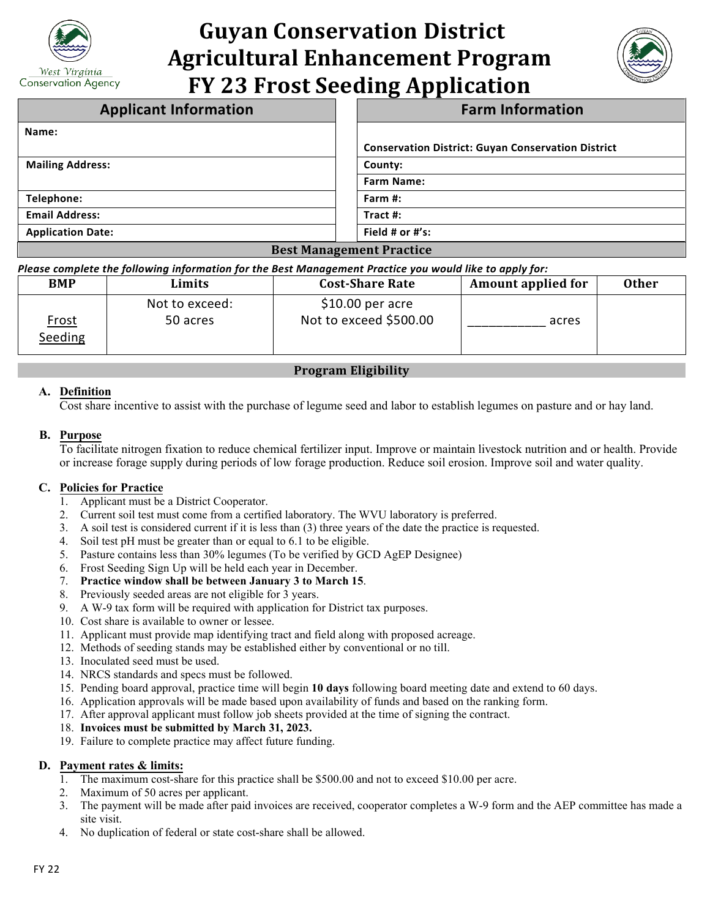

# **Guyan Conservation District Agricultural Enhancement Program FY 23 Frost Seeding Application**



| <b>Applicant Information</b>    | <b>Farm Information</b>                                   |  |  |
|---------------------------------|-----------------------------------------------------------|--|--|
| Name:                           |                                                           |  |  |
|                                 | <b>Conservation District: Guyan Conservation District</b> |  |  |
| <b>Mailing Address:</b>         | County:                                                   |  |  |
|                                 | <b>Farm Name:</b>                                         |  |  |
| Telephone:                      | Farm #:                                                   |  |  |
| <b>Email Address:</b>           | Tract $#$ :                                               |  |  |
| <b>Application Date:</b>        | Field # or $#$ 's:                                        |  |  |
| <b>Best Management Practice</b> |                                                           |  |  |

*Please complete the following information for the Best Management Practice you would like to apply for:*

| <b>BMP</b>              | Limits                     | <b>Cost-Share Rate</b>                      | <b>Amount applied for</b> | <b>Other</b> |
|-------------------------|----------------------------|---------------------------------------------|---------------------------|--------------|
| <u>Frost</u><br>Seeding | Not to exceed:<br>50 acres | $$10.00$ per acre<br>Not to exceed \$500.00 | acres                     |              |

## **Program Eligibility**

### **A. Definition**

Cost share incentive to assist with the purchase of legume seed and labor to establish legumes on pasture and or hay land.

#### **B. Purpose**

To facilitate nitrogen fixation to reduce chemical fertilizer input. Improve or maintain livestock nutrition and or health. Provide or increase forage supply during periods of low forage production. Reduce soil erosion. Improve soil and water quality.

### **C. Policies for Practice**

- 1. Applicant must be a District Cooperator.
- 2. Current soil test must come from a certified laboratory. The WVU laboratory is preferred.
- 3. A soil test is considered current if it is less than (3) three years of the date the practice is requested.
- 4. Soil test pH must be greater than or equal to 6.1 to be eligible.
- 5. Pasture contains less than 30% legumes (To be verified by GCD AgEP Designee)
- 6. Frost Seeding Sign Up will be held each year in December.
- 7. **Practice window shall be between January 3 to March 15**.
- 8. Previously seeded areas are not eligible for 3 years.
- 9. A W-9 tax form will be required with application for District tax purposes.
- 10. Cost share is available to owner or lessee.
- 11. Applicant must provide map identifying tract and field along with proposed acreage.
- 12. Methods of seeding stands may be established either by conventional or no till.
- 13. Inoculated seed must be used.
- 14. NRCS standards and specs must be followed.
- 15. Pending board approval, practice time will begin **10 days** following board meeting date and extend to 60 days.
- 16. Application approvals will be made based upon availability of funds and based on the ranking form.
- 17. After approval applicant must follow job sheets provided at the time of signing the contract.
- 18. **Invoices must be submitted by March 31, 2023.**
- 19. Failure to complete practice may affect future funding.

### **D. Payment rates & limits:**

- 1. The maximum cost-share for this practice shall be \$500.00 and not to exceed \$10.00 per acre.
- 2. Maximum of 50 acres per applicant.
- 3. The payment will be made after paid invoices are received, cooperator completes a W-9 form and the AEP committee has made a site visit.
- 4. No duplication of federal or state cost-share shall be allowed.